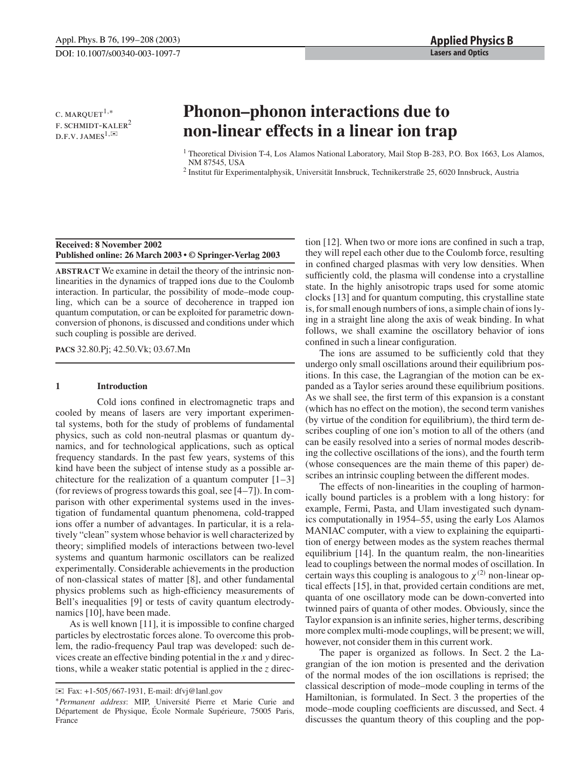$c.$  MARQUET<sup>1,\*</sup> F. SCHMIDT-KALER<sup>2</sup> D.F.V. JAMES $^{1,\n \n \infty}$ 

# **Phonon–phonon interactions due to non-linear effects in a linear ion trap**

<sup>1</sup> Theoretical Division T-4, Los Alamos National Laboratory, Mail Stop B-283, P.O. Box 1663, Los Alamos, NM 87545, USA

<sup>2</sup> Institut für Experimentalphysik, Universität Innsbruck, Technikerstraße 25, 6020 Innsbruck, Austria

# **Received: 8 November 2002 Published online: 26 March 2003 • © Springer-Verlag 2003**

**ABSTRACT** We examine in detail the theory of the intrinsic nonlinearities in the dynamics of trapped ions due to the Coulomb interaction. In particular, the possibility of mode–mode coupling, which can be a source of decoherence in trapped ion quantum computation, or can be exploited for parametric downconversion of phonons, is discussed and conditions under which such coupling is possible are derived.

**PACS** 32.80.Pj; 42.50.Vk; 03.67.Mn

# **1 Introduction**

Cold ions confined in electromagnetic traps and cooled by means of lasers are very important experimental systems, both for the study of problems of fundamental physics, such as cold non-neutral plasmas or quantum dynamics, and for technological applications, such as optical frequency standards. In the past few years, systems of this kind have been the subject of intense study as a possible architecture for the realization of a quantum computer  $[1-3]$ (for reviews of progress towards this goal, see [4–7]). In comparison with other experimental systems used in the investigation of fundamental quantum phenomena, cold-trapped ions offer a number of advantages. In particular, it is a relatively "clean" system whose behavior is well characterized by theory; simplified models of interactions between two-level systems and quantum harmonic oscillators can be realized experimentally. Considerable achievements in the production of non-classical states of matter [8], and other fundamental physics problems such as high-efficiency measurements of Bell's inequalities [9] or tests of cavity quantum electrodynamics [10], have been made.

As is well known [11], it is impossible to confine charged particles by electrostatic forces alone. To overcome this problem, the radio-frequency Paul trap was developed: such devices create an effective binding potential in the *x* and *y* directions, while a weaker static potential is applied in the *z* direction [12]. When two or more ions are confined in such a trap, they will repel each other due to the Coulomb force, resulting in confined charged plasmas with very low densities. When sufficiently cold, the plasma will condense into a crystalline state. In the highly anisotropic traps used for some atomic clocks [13] and for quantum computing, this crystalline state is, for small enough numbers of ions, a simple chain of ions lying in a straight line along the axis of weak binding. In what follows, we shall examine the oscillatory behavior of ions confined in such a linear configuration.

The ions are assumed to be sufficiently cold that they undergo only small oscillations around their equilibrium positions. In this case, the Lagrangian of the motion can be expanded as a Taylor series around these equilibrium positions. As we shall see, the first term of this expansion is a constant (which has no effect on the motion), the second term vanishes (by virtue of the condition for equilibrium), the third term describes coupling of one ion's motion to all of the others (and can be easily resolved into a series of normal modes describing the collective oscillations of the ions), and the fourth term (whose consequences are the main theme of this paper) describes an intrinsic coupling between the different modes.

The effects of non-linearities in the coupling of harmonically bound particles is a problem with a long history: for example, Fermi, Pasta, and Ulam investigated such dynamics computationally in 1954–55, using the early Los Alamos MANIAC computer, with a view to explaining the equipartition of energy between modes as the system reaches thermal equilibrium [14]. In the quantum realm, the non-linearities lead to couplings between the normal modes of oscillation. In certain ways this coupling is analogous to  $\chi^{(2)}$  non-linear optical effects [15], in that, provided certain conditions are met, quanta of one oscillatory mode can be down-converted into twinned pairs of quanta of other modes. Obviously, since the Taylor expansion is an infinite series, higher terms, describing more complex multi-mode couplings, will be present; we will, however, not consider them in this current work.

The paper is organized as follows. In Sect. 2 the Lagrangian of the ion motion is presented and the derivation of the normal modes of the ion oscillations is reprised; the classical description of mode–mode coupling in terms of the Hamiltonian, is formulated. In Sect. 3 the properties of the mode–mode coupling coefficients are discussed, and Sect. 4 discusses the quantum theory of this coupling and the pop-

<sup>✉</sup> Fax: +1-505/667-1931, E-mail: dfvj@lanl.gov

<sup>∗</sup>*Permanent address*: MIP, Universite Pierre et Marie Curie and ´ Département de Physique, École Normale Supérieure, 75005 Paris, France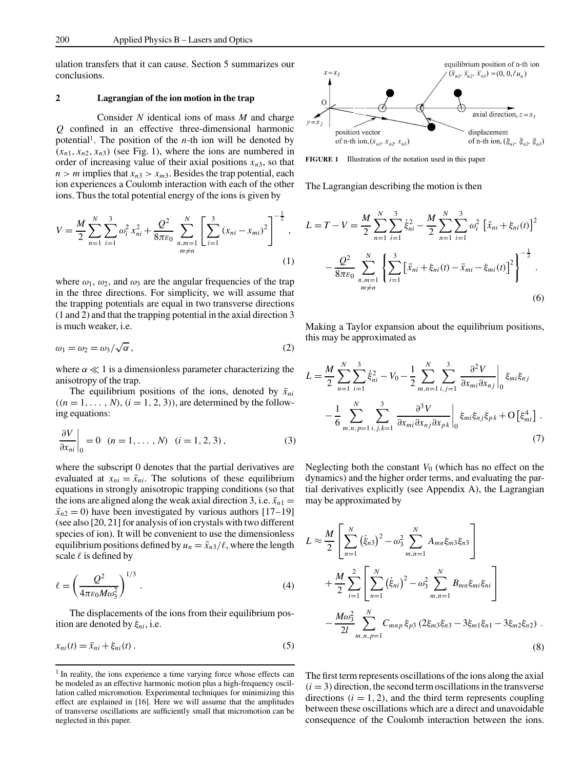ulation transfers that it can cause. Section 5 summarizes our conclusions.

#### **2 Lagrangian of the ion motion in the trap**

Consider *N* identical ions of mass *M* and charge *Q* confined in an effective three-dimensional harmonic potential1. The position of the *n*-th ion will be denoted by  $(x_{n1}, x_{n2}, x_{n3})$  (see Fig. 1), where the ions are numbered in order of increasing value of their axial positions  $x_{n3}$ , so that  $n > m$  implies that  $x_{n3} > x_{m3}$ . Besides the trap potential, each ion experiences a Coulomb interaction with each of the other ions. Thus the total potential energy of the ions is given by

$$
V = \frac{M}{2} \sum_{n=1}^{N} \sum_{i=1}^{3} \omega_i^2 x_{ni}^2 + \frac{Q^2}{8\pi\varepsilon_0} \sum_{\substack{n,m=1 \ m \neq n}}^{N} \left[ \sum_{i=1}^{3} (x_{ni} - x_{mi})^2 \right]^{-\frac{1}{2}},
$$
\n(1)

where  $\omega_1$ ,  $\omega_2$ , and  $\omega_3$  are the angular frequencies of the trap in the three directions. For simplicity, we will assume that the trapping potentials are equal in two transverse directions (1 and 2) and that the trapping potential in the axial direction 3 is much weaker, i.e.

$$
\omega_1 = \omega_2 = \omega_3/\sqrt{\alpha},\qquad(2)
$$

where  $\alpha \ll 1$  is a dimensionless parameter characterizing the anisotropy of the trap.

The equilibrium positions of the ions, denoted by  $\bar{x}_{ni}$  $((n = 1, \ldots, N), (i = 1, 2, 3))$ , are determined by the following equations:

$$
\left. \frac{\partial V}{\partial x_{ni}} \right|_0 = 0 \quad (n = 1, \dots, N) \quad (i = 1, 2, 3), \tag{3}
$$

where the subscript 0 denotes that the partial derivatives are evaluated at  $x_{ni} = \bar{x}_{ni}$ . The solutions of these equilibrium equations in strongly anisotropic trapping conditions (so that the ions are aligned along the weak axial direction 3, i.e.  $\bar{x}_{n1} =$  $\bar{x}_{n2} = 0$ ) have been investigated by various authors [17–19] (see also [20, 21] for analysis of ion crystals with two different species of ion). It will be convenient to use the dimensionless equilibrium positions defined by  $u_n = \bar{x}_{n3}/\ell$ , where the length scale  $\ell$  is defined by

$$
\ell = \left(\frac{Q^2}{4\pi\varepsilon_0 M \omega_3^2}\right)^{1/3}.
$$
\n(4)

The displacements of the ions from their equilibrium position are denoted by ξ*ni* , i.e.

$$
x_{ni}(t) = \bar{x}_{ni} + \xi_{ni}(t) \tag{5}
$$



**FIGURE 1** Illustration of the notation used in this paper

The Lagrangian describing the motion is then

$$
L = T - V = \frac{M}{2} \sum_{n=1}^{N} \sum_{i=1}^{3} \dot{\xi}_{ni}^{2} - \frac{M}{2} \sum_{n=1}^{N} \sum_{i=1}^{3} \omega_{i}^{2} \left[ \bar{x}_{ni} + \xi_{ni}(t) \right]^{2}
$$

$$
- \frac{Q^{2}}{8\pi\epsilon_{0}} \sum_{\substack{n,m=1\\m \neq n}}^{N} \left\{ \sum_{i=1}^{3} \left[ \bar{x}_{ni} + \xi_{ni}(t) - \bar{x}_{mi} - \xi_{mi}(t) \right]^{2} \right\}^{-\frac{1}{2}}.
$$
(6)

Making a Taylor expansion about the equilibrium positions, this may be approximated as

$$
L = \frac{M}{2} \sum_{n=1}^{N} \sum_{i=1}^{3} \dot{\xi}_{ni}^{2} - V_{0} - \frac{1}{2} \sum_{m,n=1}^{N} \sum_{i,j=1}^{3} \frac{\partial^{2} V}{\partial x_{mi} \partial x_{nj}} \bigg|_{0} \xi_{mi} \xi_{nj}
$$

$$
- \frac{1}{6} \sum_{m,n,p=1}^{N} \sum_{i,j,k=1}^{3} \frac{\partial^{3} V}{\partial x_{mi} \partial x_{nj} \partial x_{pk}} \bigg|_{0} \xi_{mi} \xi_{nj} \xi_{pk} + O\left[\xi_{mi}^{4}\right].
$$
(7)

Neglecting both the constant  $V_0$  (which has no effect on the dynamics) and the higher order terms, and evaluating the partial derivatives explicitly (see Appendix A), the Lagrangian may be approximated by

$$
L \approx \frac{M}{2} \left[ \sum_{n=1}^{N} \left( \dot{\xi}_{n3} \right)^{2} - \omega_{3}^{2} \sum_{m,n=1}^{N} A_{mn} \xi_{m3} \xi_{n3} \right] + \frac{M}{2} \sum_{i=1}^{2} \left[ \sum_{n=1}^{N} \left( \dot{\xi}_{ni} \right)^{2} - \omega_{3}^{2} \sum_{m,n=1}^{N} B_{mn} \xi_{mi} \xi_{ni} \right] - \frac{M \omega_{3}^{2}}{2l} \sum_{m,n,p=1}^{N} C_{mnp} \xi_{p3} \left( 2 \xi_{m3} \xi_{n3} - 3 \xi_{m1} \xi_{n1} - 3 \xi_{m2} \xi_{n2} \right).
$$
\n(8)

The first term represents oscillations of the ions along the axial  $(i = 3)$  direction, the second term oscillations in the transverse directions  $(i = 1, 2)$ , and the third term represents coupling between these oscillations which are a direct and unavoidable consequence of the Coulomb interaction between the ions.

<sup>&</sup>lt;sup>1</sup> In reality, the ions experience a time varying force whose effects can be modeled as an effective harmonic motion plus a high-frequency oscillation called micromotion. Experimental techniques for minimizing this effect are explained in [16]. Here we will assume that the amplitudes of transverse oscillations are sufficiently small that micromotion can be neglected in this paper.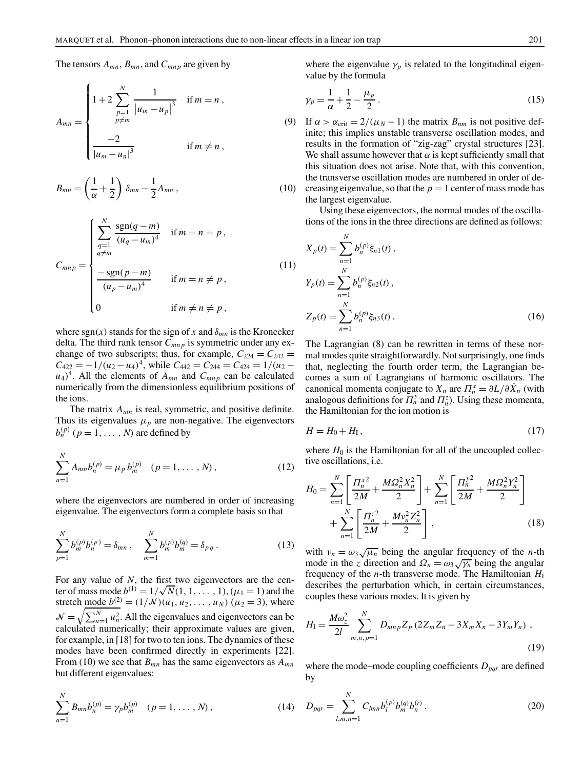The tensors  $A_{mn}$ ,  $B_{mn}$ , and  $C_{mnp}$  are given by

$$
A_{mn} = \begin{cases} 1 + 2 \sum_{\substack{p=1 \\ p \neq m}}^N \frac{1}{|u_m - u_p|^3} & \text{if } m = n, \\ \frac{-2}{|u_m - u_n|^3} & \text{if } m \neq n, \end{cases}
$$

$$
B_{mn} = \left(\frac{1}{\alpha} + \frac{1}{2}\right) \delta_{mn} - \frac{1}{2} A_{mn},\qquad(10)
$$

$$
C_{mnp} = \begin{cases} \sum_{q=1}^{N} \frac{\text{sgn}(q-m)}{(u_q - u_m)^4} & \text{if } m = n = p, \\ \frac{-\text{sgn}(p-m)}{(u_p - u_m)^4} & \text{if } m = n \neq p, \\ 0 & \text{if } m \neq n \neq p, \end{cases}
$$
(11)

where sgn(*x*) stands for the sign of *x* and  $\delta_{mn}$  is the Kronecker delta. The third rank tensor  $C_{mnp}$  is symmetric under any exchange of two subscripts; thus, for example,  $C_{224} = C_{242}$  $C_{422} = -1/(u_2 - u_4)^4$ , while  $C_{442} = C_{244} = C_{424} = 1/(u_2 - u_4)^4$  $u_4$ <sup>4</sup>. All the elements of  $A_{mn}$  and  $C_{mnp}$  can be calculated numerically from the dimensionless equilibrium positions of the ions.

The matrix *Amn* is real, symmetric, and positive definite. Thus its eigenvalues  $\mu_p$  are non-negative. The eigenvectors  $b_n^{(p)}$   $(p = 1, \ldots, N)$  are defined by

$$
\sum_{n=1}^{N} A_{mn} b_n^{(p)} = \mu_p b_m^{(p)} \quad (p = 1, \dots, N),
$$
 (12)

where the eigenvectors are numbered in order of increasing eigenvalue. The eigenvectors form a complete basis so that

$$
\sum_{p=1}^{N} b_m^{(p)} b_n^{(p)} = \delta_{mn} , \quad \sum_{m=1}^{N} b_m^{(p)} b_m^{(q)} = \delta_{pq} . \tag{13}
$$

For any value of *N*, the first two eigenvectors are the cen-For any value of N, the first two eigenvectors are the center of mass mode  $b^{(1)} = 1/\sqrt{N}(1, 1, \dots, 1), (\mu_1 = 1)$  and the stretch mode  $b^{(2)} = (1/\mathcal{N})(u_1, u_2, \dots, u_N)$  ( $\mu_2 = 3$ ), where  $\mathcal{N} = \sqrt{\sum_{n=1}^{N} u_n^2}$ . All the eigenvalues and eigenvectors can be calculated numerically; their approximate values are given, for example, in [18] for two to ten ions. The dynamics of these modes have been confirmed directly in experiments [22]. From (10) we see that *Bmn* has the same eigenvectors as *Amn* but different eigenvalues:

$$
\sum_{n=1}^{N} B_{mn} b_n^{(p)} = \gamma_p b_m^{(p)} \quad (p = 1, \dots, N),
$$
 (14)

where the eigenvalue  $\gamma_p$  is related to the longitudinal eigenvalue by the formula

$$
\gamma_p = \frac{1}{\alpha} + \frac{1}{2} - \frac{\mu_p}{2} \,. \tag{15}
$$

(9) If  $\alpha > \alpha_{\text{crit}} = 2/(\mu_N - 1)$  the matrix  $B_{nm}$  is not positive definite; this implies unstable transverse oscillation modes, and results in the formation of "zig-zag" crystal structures [23]. We shall assume however that  $\alpha$  is kept sufficiently small that this situation does not arise. Note that, with this convention, the transverse oscillation modes are numbered in order of de-0) creasing eigenvalue, so that the  $p = 1$  center of mass mode has the largest eigenvalue.

Using these eigenvectors, the normal modes of the oscillations of the ions in the three directions are defined as follows:

$$
X_p(t) = \sum_{n=1}^{N} b_n^{(p)} \xi_{n1}(t),
$$
  
\n
$$
Y_p(t) = \sum_{n=1}^{N} b_n^{(p)} \xi_{n2}(t),
$$
  
\n
$$
Z_p(t) = \sum_{n=1}^{N} b_n^{(p)} \xi_{n3}(t).
$$
\n(16)

The Lagrangian (8) can be rewritten in terms of these normal modes quite straightforwardly. Not surprisingly, one finds that, neglecting the fourth order term, the Lagrangian becomes a sum of Lagrangians of harmonic oscillators. The canonical momenta conjugate to  $X_n$  are  $\Pi_n^x = \partial L / \partial \dot{X}_n$  (with analogous definitions for  $\Pi_n^y$  and  $\Pi_n^z$ ). Using these momenta, the Hamiltonian for the ion motion is

$$
H = H_0 + H_\text{I},\tag{17}
$$

where  $H_0$  is the Hamiltonian for all of the uncoupled collective oscillations, i.e.

$$
H_0 = \sum_{n=1}^{N} \left[ \frac{\Pi_n^{x^2}}{2M} + \frac{M\Omega_n^2 X_n^2}{2} \right] + \sum_{n=1}^{N} \left[ \frac{\Pi_n^{y^2}}{2M} + \frac{M\Omega_n^2 Y_n^2}{2} \right] + \sum_{n=1}^{N} \left[ \frac{\Pi_n^{z^2}}{2M} + \frac{Mv_n^2 Z_n^2}{2} \right],
$$
 (18)

with  $v_n = \omega_3 \sqrt{\mu_n}$  being the angular frequency of the *n*-th with  $\nu_n = \omega_3 \sqrt{\mu_n}$  being the angular frequency of the *n*-th mode in the *z* direction and  $\Omega_n = \omega_3 \sqrt{\gamma_n}$  being the angular frequency of the *n*-th transverse mode. The Hamiltonian  $H_I$ describes the perturbation which, in certain circumstances, couples these various modes. It is given by

$$
H_{\rm I} = \frac{M\omega_z^2}{2l} \sum_{m,n,p=1}^{N} D_{mnp} Z_p (2Z_m Z_n - 3X_m X_n - 3Y_m Y_n) ,
$$
\n(19)

where the mode–mode coupling coefficients  $D_{pqr}$  are defined by

$$
D_{pqr} = \sum_{l,m,n=1}^{N} C_{lmn} b_l^{(p)} b_m^{(q)} b_n^{(r)}.
$$
 (20)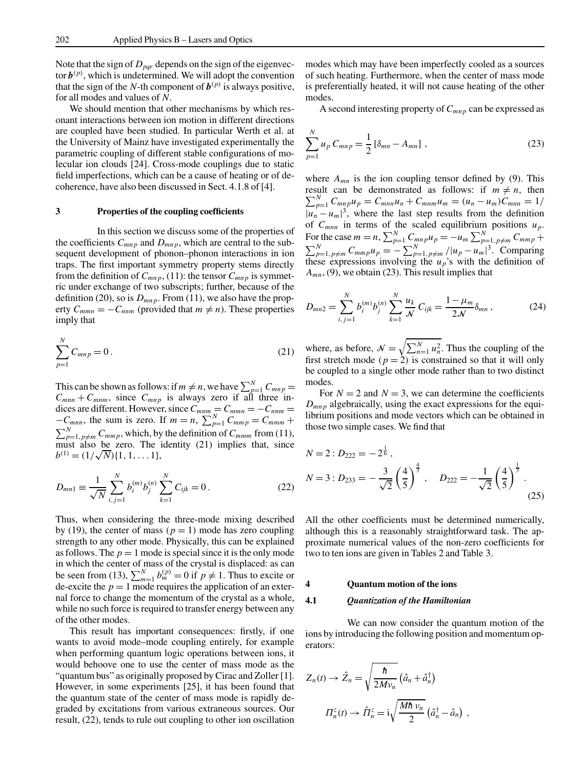Note that the sign of  $D_{pqr}$  depends on the sign of the eigenvector  $b^{(p)}$ , which is undetermined. We will adopt the convention that the sign of the *N*-th component of  $b^{(p)}$  is always positive, for all modes and values of *N*.

We should mention that other mechanisms by which resonant interactions between ion motion in different directions are coupled have been studied. In particular Werth et al. at the University of Mainz have investigated experimentally the parametric coupling of different stable configurations of molecular ion clouds [24]. Cross-mode couplings due to static field imperfections, which can be a cause of heating or of decoherence, have also been discussed in Sect. 4.1.8 of [4].

# **3 Properties of the coupling coefficients**

In this section we discuss some of the properties of the coefficients  $C_{mnn}$  and  $D_{mnn}$ , which are central to the subsequent development of phonon–phonon interactions in ion traps. The first important symmetry property stems directly from the definition of  $C_{mnp}$ , (11): the tensor  $C_{mnp}$  is symmetric under exchange of two subscripts; further, because of the definition (20), so is  $D_{mnp}$ . From (11), we also have the property  $C_{mmn} = -C_{nnm}$  (provided that  $m \neq n$ ). These properties imply that

$$
\sum_{p=1}^{N} C_{mnp} = 0.
$$
 (21)

This can be shown as follows: if  $m \neq n$ , we have  $\sum_{p=1}^{N} C_{mnp} =$  $C_{mnn} + C_{mnm}$ , since  $C_{mnp}$  is always zero if all three indices are different. However, since  $C_{mnm} = C_{mnm} = -C_{nnm}$  $-C_{mnn}$ , the sum is zero. If  $m = n$ ,  $\sum_{p=1}^{n} C_{mmp} = C_{mmm} + C_{mmm}$  $\sum_{p=1, p \neq m}^{N} C_{mmp}$ , which, by the definition of  $C_{mmm}$  from (11), must also be zero. The identity  $(21)$  implies that, since must also be zero. The  $b^{(1)} = (1/\sqrt{N})\{1, 1, \ldots 1\},\$ 

$$
D_{mn1} \equiv \frac{1}{\sqrt{N}} \sum_{i,j=1}^{N} b_i^{(m)} b_j^{(n)} \sum_{k=1}^{N} C_{ijk} = 0.
$$
 (22)

Thus, when considering the three-mode mixing described by (19), the center of mass ( $p = 1$ ) mode has zero coupling strength to any other mode. Physically, this can be explained as follows. The  $p = 1$  mode is special since it is the only mode in which the center of mass of the crystal is displaced: as can be seen from (13),  $\sum_{m=1}^{N} b_m^{(p)} = 0$  if  $p \neq 1$ . Thus to excite or de-excite the  $p = 1$  mode requires the application of an external force to change the momentum of the crystal as a whole, while no such force is required to transfer energy between any of the other modes.

This result has important consequences: firstly, if one wants to avoid mode–mode coupling entirely, for example when performing quantum logic operations between ions, it would behoove one to use the center of mass mode as the "quantum bus" as originally proposed by Cirac and Zoller [1]. However, in some experiments [25], it has been found that the quantum state of the center of mass mode is rapidly degraded by excitations from various extraneous sources. Our result, (22), tends to rule out coupling to other ion oscillation modes which may have been imperfectly cooled as a sources of such heating. Furthermore, when the center of mass mode is preferentially heated, it will not cause heating of the other modes.

A second interesting property of *Cmn p* can be expressed as

$$
\sum_{p=1}^{N} u_p C_{mnp} = \frac{1}{2} [\delta_{mn} - A_{mn}], \qquad (23)
$$

where  $A_{mn}$  is the ion coupling tensor defined by (9). This  $\sum_{p=1}^{N} C_{mnp} u_p = C_{mnn} u_n + C_{mnm} u_m = (u_n - u_m) C_{mnn} = 1/$ result can be demonstrated as follows: if  $m \neq n$ , then  $|u_n - u_m|^3$ , where the last step results from the definition of  $C_{mnn}$  in terms of the scaled equilibrium positions  $u_p$ . For the case  $m = n$ ,  $\sum_{p=1}^{N} C_{mnp} u_p = -u_m \sum_{p=1, p \neq m}^{N} C_{mmp} +$  $\sum_{p=1, p \neq m}^{N} C_{mmp} u_p = -\sum_{p=1, p \neq m}^{N} / |u_p - u_m|^3$ . Comparing these expressions involving the  $u_p$ 's with the definition of *Amn*, (9), we obtain (23). This result implies that

$$
D_{mn2} = \sum_{i,j=1}^{N} b_i^{(m)} b_j^{(n)} \sum_{k=1}^{N} \frac{u_k}{\mathcal{N}} C_{ijk} = \frac{1 - \mu_m}{2\mathcal{N}} \delta_{mn} , \qquad (24)
$$

where, as before,  $\mathcal{N} = \sqrt{\sum_{n=1}^{N} u_n^2}$ . Thus the coupling of the first stretch mode  $(p = 2)$  is constrained so that it will only be coupled to a single other mode rather than to two distinct modes.

For  $N = 2$  and  $N = 3$ , we can determine the coefficients  $D_{mnp}$  algebraically, using the exact expressions for the equilibrium positions and mode vectors which can be obtained in those two simple cases. We find that

$$
N = 2 : D_{222} = -2^{\frac{1}{6}},
$$
  
\n
$$
N = 3 : D_{233} = -\frac{3}{\sqrt{2}} \left(\frac{4}{5}\right)^{\frac{4}{3}}, \quad D_{222} = -\frac{1}{\sqrt{2}} \left(\frac{4}{5}\right)^{\frac{1}{3}}.
$$
\n(25)

All the other coefficients must be determined numerically, although this is a reasonably straightforward task. The approximate numerical values of the non-zero coefficients for two to ten ions are given in Tables 2 and Table 3.

#### **4 Quantum motion of the ions**

#### **4.1** *Quantization of the Hamiltonian*

We can now consider the quantum motion of the ions by introducing the following position and momentum operators:

$$
Z_n(t) \to \hat{Z}_n = \sqrt{\frac{\hbar}{2Mv_n}} (\hat{a}_n + \hat{a}_n^{\dagger})
$$

$$
\Pi_n^z(t) \to \hat{\Pi}_n^z = i\sqrt{\frac{M\hbar v_n}{2}} (\hat{a}_n^{\dagger} - \hat{a}_n) ,
$$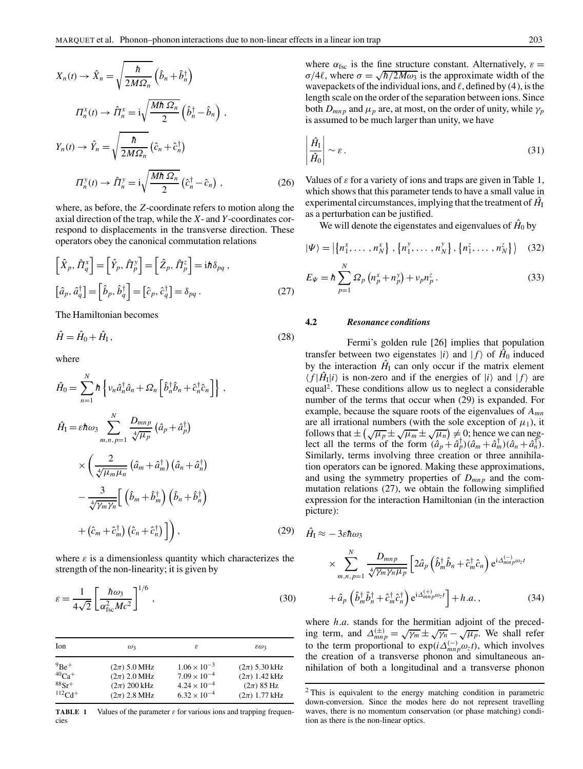$$
X_n(t) \to \hat{X}_n = \sqrt{\frac{\hbar}{2M\Omega_n}} \left( \hat{b}_n + \hat{b}_n^{\dagger} \right)
$$
  

$$
\Pi_n^x(t) \to \hat{\Pi}_n^x = i\sqrt{\frac{M\hbar \Omega_n}{2}} \left( \hat{b}_n^{\dagger} - \hat{b}_n \right),
$$
  

$$
Y_n(t) \to \hat{Y}_n = \sqrt{\frac{\hbar}{2M\Omega_n}} \left( \hat{c}_n + \hat{c}_n^{\dagger} \right)
$$
  

$$
\Pi_n^y(t) \to \hat{\Pi}_n^y = i\sqrt{\frac{M\hbar \Omega_n}{2}} \left( \hat{c}_n^{\dagger} - \hat{c}_n \right),
$$
 (26)

where, as before, the *Z*-coordinate refers to motion along the axial direction of the trap, while the *X*- and *Y*-coordinates correspond to displacements in the transverse direction. These operators obey the canonical commutation relations

$$
\begin{aligned}\n\left[\hat{X}_p, \hat{\Pi}_q^x\right] &= \left[\hat{Y}_p, \hat{\Pi}_p^y\right] = \left[\hat{Z}_p, \hat{\Pi}_p^z\right] = \mathrm{i}\hbar\delta_{pq} \,, \\
\left[\hat{a}_p, \hat{a}_q^\dagger\right] &= \left[\hat{b}_p, \hat{b}_q^\dagger\right] = \left[\hat{c}_p, \hat{c}_q^\dagger\right] = \delta_{pq} \,. \n\end{aligned} \tag{27}
$$

The Hamiltonian becomes

$$
\hat{H} = \hat{H}_0 + \hat{H}_\text{I},\tag{28}
$$

where

$$
\hat{H}_0 = \sum_{n=1}^N \hbar \left\{ v_n \hat{a}_n^\dagger \hat{a}_n + \Omega_n \left[ \hat{b}_n^\dagger \hat{b}_n + \hat{c}_n^\dagger \hat{c}_n \right] \right\},
$$
\n
$$
\hat{H}_1 = \varepsilon \hbar \omega_3 \sum_{m,n,p=1}^N \frac{D_{mnp}}{\sqrt[4]{\mu_p}} \left( \hat{a}_p + \hat{a}_p^\dagger \right)
$$
\n
$$
\times \left( \frac{2}{\sqrt[4]{\mu_m \mu_n}} \left( \hat{a}_m + \hat{a}_m^\dagger \right) \left( \hat{a}_n + \hat{a}_n^\dagger \right) \right.
$$
\n
$$
- \frac{3}{\sqrt[4]{\mu_m \mu_n}} \left[ \left( \hat{b}_m + \hat{b}_m^\dagger \right) \left( \hat{b}_n + \hat{b}_n^\dagger \right) \right.
$$
\n
$$
+ \left( \hat{c}_m + \hat{c}_m^\dagger \right) \left( \hat{c}_n + \hat{c}_n^\dagger \right) \right],
$$
\n(29)

where  $\varepsilon$  is a dimensionless quantity which characterizes the strength of the non-linearity; it is given by

$$
\varepsilon = \frac{1}{4\sqrt{2}} \left[ \frac{\hbar \omega_3}{\alpha_{\text{fsc}}^2 Mc^2} \right]^{1/6},\tag{30}
$$

| Ion                           | $\omega_3$       | ε                     | $\varepsilon\omega_3$ |
|-------------------------------|------------------|-----------------------|-----------------------|
| $9Be+$                        | $(2\pi)$ 5.0 MHz | $1.06 \times 10^{-3}$ | $(2\pi)$ 5.30 kHz     |
| $^{40}Ca$ <sup>+</sup>        | $(2\pi)$ 2.0 MHz | $7.09 \times 10^{-4}$ | $(2\pi)$ 1.42 kHz     |
| ${}^{88}Sr^{+}$               | $(2\pi)$ 200 kHz | $4.24 \times 10^{-4}$ | $(2\pi)$ 85 Hz        |
| $112 \text{C}$ d <sup>+</sup> | $(2\pi)$ 2.8 MHz | $6.32 \times 10^{-4}$ | $(2\pi)$ 1.77 kHz     |

**TABLE 1** Values of the parameter  $\varepsilon$  for various ions and trapping frequencies

where  $\alpha_{\text{fsc}}$  is the fine structure constant. Alternatively,  $\varepsilon =$  $\sigma/4\ell$ , where  $\sigma = \sqrt{\frac{h}{2M\omega_3}}$  is the approximate width of the wavepackets of the individual ions, and  $\ell$ , defined by (4), is the length scale on the order of the separation between ions. Since both  $D_{mnp}$  and  $\mu_p$  are, at most, on the order of unity, while  $\gamma_p$ is assumed to be much larger than unity, we have

$$
\left|\frac{\hat{H}_1}{\hat{H}_0}\right| \sim \varepsilon.
$$
\n(31)

Values of  $\varepsilon$  for a variety of ions and traps are given in Table 1, which shows that this parameter tends to have a small value in experimental circumstances, implying that the treatment of  $H<sub>I</sub>$ as a perturbation can be justified.

We will denote the eigenstates and eigenvalues of  $\hat{H}_0$  by

$$
|\Psi\rangle = \left| \left\{ n_1^x, \dots, n_N^x \right\}, \left\{ n_1^y, \dots, n_N^y \right\}, \left\{ n_1^z, \dots, n_N^z \right\} \right| \quad (32)
$$

$$
E_{\Psi} = \hbar \sum_{p=1}^{N} \Omega_p \left( n_p^x + n_p^y \right) + \nu_p n_p^z \,. \tag{33}
$$

### **4.2** *Resonance conditions*

Fermi's golden rule [26] implies that population transfer between two eigenstates  $|i\rangle$  and  $|f\rangle$  of  $\hat{H}_0$  induced by the interaction  $\hat{H}_{\text{I}}$  can only occur if the matrix element  $\langle f | \hat{H}_{I} | i \rangle$  is non-zero and if the energies of  $|i\rangle$  and  $|f\rangle$  are equal2. These conditions allow us to neglect a considerable number of the terms that occur when (29) is expanded. For example, because the square roots of the eigenvalues of *Amn* are all irrational numbers (with the sole exception of  $\mu_1$ ), it follows that  $\pm (\sqrt{\mu_p} \pm \sqrt{\mu_m} \pm \sqrt{\mu_n}) \neq 0$ ; hence we can neg-lect all the terms of the form  $(\hat{a}_p + \hat{a}_p^{\dagger})(\hat{a}_m + \hat{a}_m^{\dagger})(\hat{a}_n + \hat{a}_n^{\dagger})$ . Similarly, terms involving three creation or three annihilation operators can be ignored. Making these approximations, and using the symmetry properties of  $D_{mnp}$  and the commutation relations (27), we obtain the following simplified expression for the interaction Hamiltonian (in the interaction picture):

$$
\hat{H}_{\rm I} \approx -3\varepsilon\hbar\omega_3
$$
\n
$$
\times \sum_{m,n,p=1}^{N} \frac{D_{mnp}}{\sqrt[4]{\gamma_m \gamma_n \mu_p}} \left[ 2\hat{a}_p \left( \hat{b}_m^{\dagger} \hat{b}_n + \hat{c}_m^{\dagger} \hat{c}_n \right) e^{i\Delta_{mnp}^{(-)}\omega_z t} + \hat{a}_p \left( \hat{b}_m^{\dagger} \hat{b}_n^{\dagger} + \hat{c}_m^{\dagger} \hat{c}_n^{\dagger} \right) e^{i\Delta_{mnp}^{(+)}\omega_z t} \right] + h.a., \qquad (34)
$$

where *h.a.* stands for the hermitian adjoint of the precedwhere *n.a.* stands for the hermitian adjoint of the preced-<br>ing term, and  $\Delta_{mnp}^{(\pm)} = \sqrt{\gamma_m} \pm \sqrt{\gamma_n} - \sqrt{\mu_p}$ . We shall refer to the term proportional to  $exp(i\Delta_{mnp}^{(-)}\omega_z t)$ , which involves the creation of a transverse phonon and simultaneous annihilation of both a longitudinal and a transverse phonon

<sup>&</sup>lt;sup>2</sup> This is equivalent to the energy matching condition in parametric down-conversion. Since the modes here do not represent travelling waves, there is no momentum conservation (or phase matching) condition as there is the non-linear optics.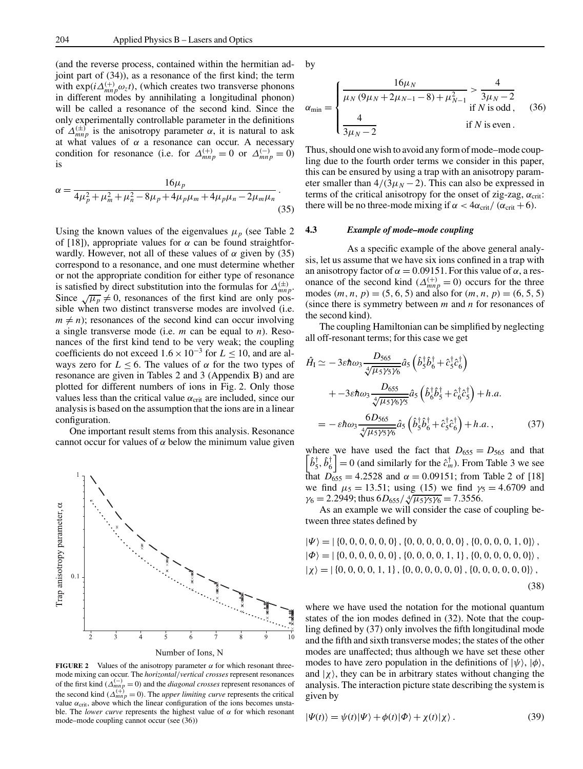(and the reverse process, contained within the hermitian adjoint part of (34)), as a resonance of the first kind; the term with  $exp(i\Delta_{mnp}^{(+)}\omega_z t)$ , (which creates two transverse phonons in different modes by annihilating a longitudinal phonon) will be called a resonance of the second kind. Since the only experimentally controllable parameter in the definitions of  $\Delta_{mnp}^{(\pm)}$  is the anisotropy parameter  $\alpha$ , it is natural to ask at what values of  $\alpha$  a resonance can occur. A necessary condition for resonance (i.e. for  $\Delta_{mnp}^{(+)} = 0$  or  $\Delta_{mnp}^{(-)} = 0$ ) is

$$
\alpha = \frac{16\mu_p}{4\mu_p^2 + \mu_m^2 + \mu_n^2 - 8\mu_p + 4\mu_p\mu_m + 4\mu_p\mu_n - 2\mu_m\mu_n}.
$$
\n(35)

Using the known values of the eigenvalues  $\mu_p$  (see Table 2) of [18]), appropriate values for  $\alpha$  can be found straightforwardly. However, not all of these values of  $\alpha$  given by (35) correspond to a resonance, and one must determine whether or not the appropriate condition for either type of resonance is satisfied by direct substitution into the formulas for  $\Delta_{mnp}^{(\pm)}$ . Since  $\sqrt{\mu_p} \neq 0$ , resonances of the first kind are only possible when two distinct transverse modes are involved (i.e.  $m \neq n$ ; resonances of the second kind can occur involving a single transverse mode (i.e. *m* can be equal to *n*). Resonances of the first kind tend to be very weak; the coupling coefficients do not exceed  $1.6 \times 10^{-3}$  for  $L \le 10$ , and are always zero for  $L \leq 6$ . The values of  $\alpha$  for the two types of resonance are given in Tables 2 and 3 (Appendix B) and are plotted for different numbers of ions in Fig. 2. Only those values less than the critical value  $\alpha_{\rm crit}$  are included, since our analysis is based on the assumption that the ions are in a linear configuration.

One important result stems from this analysis. Resonance cannot occur for values of  $\alpha$  below the minimum value given



**FIGURE 2** Values of the anisotropy parameter  $\alpha$  for which resonant threemode mixing can occur. The *horizontal*/*vertical crosses* represent resonances of the first kind  $(\Delta_{mn}^{(-)}=0)$  and the *diagonal crosses* represent resonances of the second kind ( $\Delta_{mnp}^{(+)} = 0$ ). The *upper limiting curve* represents the critical value  $\alpha_{\text{crit}}$ , above which the linear configuration of the ions becomes unstable. The *lower curve* represents the highest value of  $\alpha$  for which resonant mode–mode coupling cannot occur (see (36))

by

$$
\alpha_{\min} = \begin{cases}\n\frac{16\mu_N}{\mu_N (9\mu_N + 2\mu_{N-1} - 8) + \mu_{N-1}^2} > \frac{4}{3\mu_N - 2} \\
\frac{4}{3\mu_N - 2} & \text{if } N \text{ is odd}, \quad (36) \\
\end{cases}
$$

Thus, should one wish to avoid any form of mode–mode coupling due to the fourth order terms we consider in this paper, this can be ensured by using a trap with an anisotropy parameter smaller than  $4/(3\mu<sub>N</sub> - 2)$ . This can also be expressed in terms of the critical anisotropy for the onset of zig-zag,  $\alpha_{\rm crit}$ : there will be no three-mode mixing if  $\alpha < 4\alpha_{\rm crit}/(\alpha_{\rm crit}+6)$ .

#### **4.3** *Example of mode–mode coupling*

As a specific example of the above general analysis, let us assume that we have six ions confined in a trap with an anisotropy factor of  $\alpha = 0.09151$ . For this value of  $\alpha$ , a resonance of the second kind ( $\Delta_{mnp}^{(+)} = 0$ ) occurs for the three modes  $(m, n, p) = (5, 6, 5)$  and also for  $(m, n, p) = (6, 5, 5)$ (since there is symmetry between *m* and *n* for resonances of the second kind).

The coupling Hamiltonian can be simplified by neglecting all off-resonant terms; for this case we get

$$
\hat{H}_{\rm I} \simeq -3\varepsilon\hbar\omega_3 \frac{D_{565}}{\sqrt[4]{\mu_{5}\gamma_{5}\gamma_{6}}} \hat{a}_{5} \left(\hat{b}_{5}^{\dagger}\hat{b}_{6}^{\dagger} + \hat{c}_{5}^{\dagger}\hat{c}_{6}^{\dagger}\right) \n+ -3\varepsilon\hbar\omega_3 \frac{D_{655}}{\sqrt[4]{\mu_{5}\gamma_{6}\gamma_{5}}} \hat{a}_{5} \left(\hat{b}_{6}^{\dagger}\hat{b}_{5}^{\dagger} + \hat{c}_{6}^{\dagger}\hat{c}_{5}^{\dagger}\right) + h.a. \n= -\varepsilon\hbar\omega_3 \frac{6D_{565}}{\sqrt[4]{\mu_{5}\gamma_{5}\gamma_{6}}} \hat{a}_{5} \left(\hat{b}_{5}^{\dagger}\hat{b}_{6}^{\dagger} + \hat{c}_{5}^{\dagger}\hat{c}_{6}^{\dagger}\right) + h.a., \qquad (37)
$$

 $\left[\hat{b}_5^{\dagger}, \hat{b}_6^{\dagger}\right] = 0$  (and similarly for the  $\hat{c}_m^{\dagger}$ ). From Table 3 we see where we have used the fact that  $D_{655} = D_{565}$  and that that  $D_{655} = 4.2528$  and  $\alpha = 0.09151$ ; from Table 2 of [18] we find  $\mu_5 = 13.51$ ; using (15) we find  $\gamma_5 = 4.6709$  and we find  $\mu_5 = 13.31$ , using (13) we find  $\gamma_5$ <br>  $\gamma_6 = 2.2949$ ; thus  $6D_{655}/\sqrt[4]{\mu_5 \gamma_5 \gamma_6} = 7.3556$ .

As an example we will consider the case of coupling between three states defined by

$$
|\Psi\rangle = |\{0, 0, 0, 0, 0, 0\}, \{0, 0, 0, 0, 0\}, \{0, 0, 0, 0, 1, 0\}\rangle,
$$
  

$$
|\Phi\rangle = |\{0, 0, 0, 0, 0, 0\}, \{0, 0, 0, 0, 1, 1\}, \{0, 0, 0, 0, 0, 0\}\rangle,
$$
  

$$
|\chi\rangle = |\{0, 0, 0, 0, 1, 1\}, \{0, 0, 0, 0, 0\}, \{0, 0, 0, 0, 0, 0\}\rangle,
$$
  
(38)

where we have used the notation for the motional quantum states of the ion modes defined in (32). Note that the coupling defined by (37) only involves the fifth longitudinal mode and the fifth and sixth transverse modes; the states of the other modes are unaffected; thus although we have set these other modes to have zero population in the definitions of  $|\psi\rangle$ ,  $|\phi\rangle$ , and  $|\chi\rangle$ , they can be in arbitrary states without changing the analysis. The interaction picture state describing the system is given by

$$
|\Psi(t)\rangle = \psi(t)|\Psi\rangle + \phi(t)|\Phi\rangle + \chi(t)|\chi\rangle. \tag{39}
$$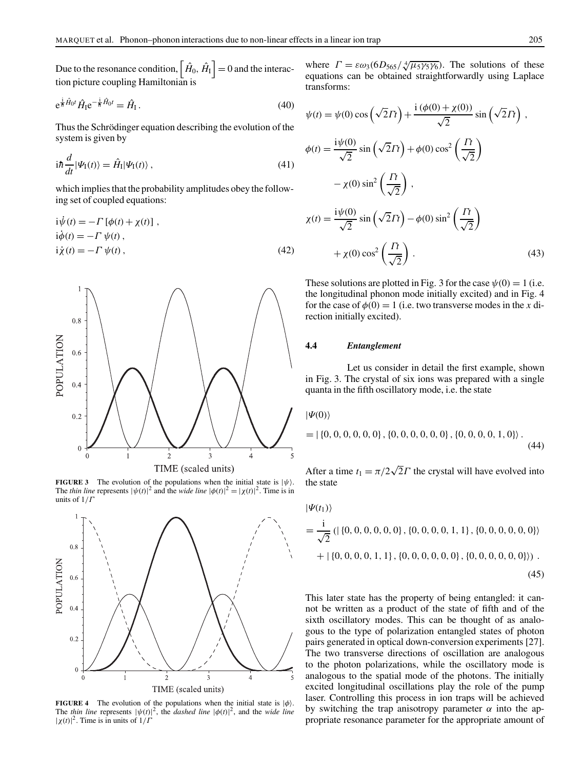Due to the resonance condition,  $\left[ \hat{H}_0, \hat{H}_{\text{I}} \right] = 0$  and the interaction picture coupling Hamiltonian is

$$
e^{\frac{i}{\hbar}\hat{H}_0 t} \hat{H}_1 e^{-\frac{i}{\hbar}\hat{H}_0 t} = \hat{H}_1.
$$
\n(40)

Thus the Schrödinger equation describing the evolution of the system is given by

$$
i\hbar \frac{d}{dt} |\Psi_{\rm I}(t)\rangle = \hat{H}_{\rm I} |\Psi_{\rm I}(t)\rangle \,, \tag{41}
$$

which implies that the probability amplitudes obey the following set of coupled equations:

$$
i\dot{\psi}(t) = -\Gamma [\phi(t) + \chi(t)] ,
$$
  
\n
$$
i\dot{\phi}(t) = -\Gamma \psi(t) ,
$$
  
\n
$$
i\dot{\chi}(t) = -\Gamma \psi(t) ,
$$
\n(42)



**FIGURE 3** The evolution of the populations when the initial state is  $|\psi\rangle$ . The *thin line* represents  $|\psi(t)|^2$  and the *wide line*  $|\phi(t)|^2 = |\chi(t)|^2$ . Time is in units of  $1/\Gamma$ 



**FIGURE 4** The evolution of the populations when the initial state is  $|\phi\rangle$ . The *thin line* represents  $|\psi(t)|^2$ , the *dashed line*  $|\phi(t)|^2$ , and the *wide line*  $|\chi(t)|^2$ . Time is in units of  $1/\Gamma$ 

where  $\Gamma = \varepsilon \omega_3 (6D_{565}/\sqrt[4]{\mu_5 \gamma_5 \gamma_6})$ . The solutions of these equations can be obtained straightforwardly using Laplace transforms:

$$
\psi(t) = \psi(0) \cos\left(\sqrt{2} \Gamma t\right) + \frac{\mathrm{i} \left(\phi(0) + \chi(0)\right)}{\sqrt{2}} \sin\left(\sqrt{2} \Gamma t\right),
$$
  

$$
\phi(t) = \frac{\mathrm{i} \psi(0)}{\sqrt{2}} \sin\left(\sqrt{2} \Gamma t\right) + \phi(0) \cos^2\left(\frac{\Gamma t}{\sqrt{2}}\right)
$$
  

$$
-\chi(0) \sin^2\left(\frac{\Gamma t}{\sqrt{2}}\right),
$$
  

$$
\chi(t) = \frac{\mathrm{i} \psi(0)}{\sqrt{2}} \sin\left(\sqrt{2} \Gamma t\right) - \phi(0) \sin^2\left(\frac{\Gamma t}{\sqrt{2}}\right)
$$
  

$$
+\chi(0) \cos^2\left(\frac{\Gamma t}{\sqrt{2}}\right).
$$
 (43)

These solutions are plotted in Fig. 3 for the case  $\psi(0) = 1$  (i.e. the longitudinal phonon mode initially excited) and in Fig. 4 for the case of  $\phi(0) = 1$  (i.e. two transverse modes in the *x* direction initially excited).

### **4.4** *Entanglement*

Let us consider in detail the first example, shown in Fig. 3. The crystal of six ions was prepared with a single quanta in the fifth oscillatory mode, i.e. the state

 $|\Psi(0)\rangle$ 

$$
= |\{0, 0, 0, 0, 0, 0\}, \{0, 0, 0, 0, 0, 0\}, \{0, 0, 0, 0, 1, 0\}\rangle.
$$
\n(44)

After a time  $t_1 = \pi/2$ √  $2\Gamma$  the crystal will have evolved into the state

$$
|\Psi(t_1)\rangle
$$
  
=  $\frac{i}{\sqrt{2}}$  ( | {0, 0, 0, 0, 0, 0}, {0, 0, 0, 0, 1, 1}, {0, 0, 0, 0, 0, 0, 0} \rangle  
+ | {0, 0, 0, 0, 1, 1}, {0, 0, 0, 0, 0, 0}, {0, 0, 0, 0, 0, 0} \rangle ). (45)

This later state has the property of being entangled: it cannot be written as a product of the state of fifth and of the sixth oscillatory modes. This can be thought of as analogous to the type of polarization entangled states of photon pairs generated in optical down-conversion experiments [27]. The two transverse directions of oscillation are analogous to the photon polarizations, while the oscillatory mode is analogous to the spatial mode of the photons. The initially excited longitudinal oscillations play the role of the pump laser. Controlling this process in ion traps will be achieved by switching the trap anisotropy parameter  $\alpha$  into the appropriate resonance parameter for the appropriate amount of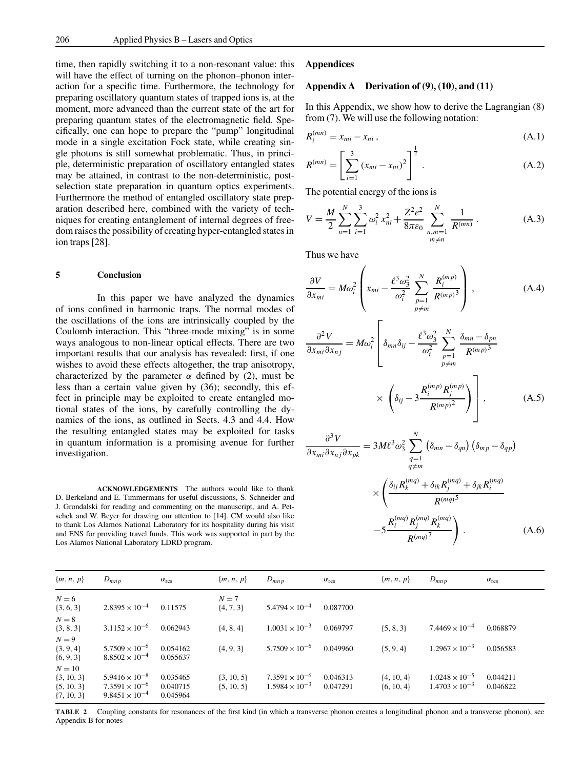time, then rapidly switching it to a non-resonant value: this will have the effect of turning on the phonon–phonon interaction for a specific time. Furthermore, the technology for preparing oscillatory quantum states of trapped ions is, at the moment, more advanced than the current state of the art for preparing quantum states of the electromagnetic field. Specifically, one can hope to prepare the "pump" longitudinal mode in a single excitation Fock state, while creating single photons is still somewhat problematic. Thus, in principle, deterministic preparation of oscillatory entangled states may be attained, in contrast to the non-deterministic, postselection state preparation in quantum optics experiments. Furthermore the method of entangled oscillatory state preparation described here, combined with the variety of techniques for creating entanglement of internal degrees of freedom raises the possibility of creating hyper-entangled states in ion traps [28].

#### **5 Conclusion**

In this paper we have analyzed the dynamics of ions confined in harmonic traps. The normal modes of the oscillations of the ions are intrinsically coupled by the Coulomb interaction. This "three-mode mixing" is in some ways analogous to non-linear optical effects. There are two important results that our analysis has revealed: first, if one wishes to avoid these effects altogether, the trap anisotropy, characterized by the parameter  $\alpha$  defined by (2), must be less than a certain value given by (36); secondly, this effect in principle may be exploited to create entangled motional states of the ions, by carefully controlling the dynamics of the ions, as outlined in Sects. 4.3 and 4.4. How the resulting entangled states may be exploited for tasks in quantum information is a promising avenue for further investigation.

**ACKNOWLEDGEMENTS** The authors would like to thank D. Berkeland and E. Timmermans for useful discussions, S. Schneider and J. Grondalski for reading and commenting on the manuscript, and A. Petschek and W. Beyer for drawing our attention to [14]. CM would also like to thank Los Alamos National Laboratory for its hospitality during his visit and ENS for providing travel funds. This work was supported in part by the Los Alamos National Laboratory LDRD program.

#### **Appendices**

# **Appendix A Derivation of (9), (10), and (11)**

In this Appendix, we show how to derive the Lagrangian (8) from (7). We will use the following notation:

$$
R_i^{(mn)} = x_{mi} - x_{ni},\tag{A.1}
$$

$$
R^{(mn)} = \left[\sum_{i=1}^{3} (x_{mi} - x_{ni})^2\right]^{\frac{1}{2}}.
$$
 (A.2)

The potential energy of the ions is

$$
V = \frac{M}{2} \sum_{n=1}^{N} \sum_{i=1}^{3} \omega_i^2 x_{ni}^2 + \frac{Z^2 e^2}{8\pi \varepsilon_0} \sum_{\substack{n,m=1 \ m \neq n}}^{N} \frac{1}{R^{(mn)}}.
$$
 (A.3)

Thus we have

$$
\frac{\partial V}{\partial x_{mi}} = M\omega_i^2 \left( x_{mi} - \frac{\ell^3 \omega_3^2}{\omega_i^2} \sum_{\substack{p=1 \ p \neq m}}^N \frac{R_i^{(mp)}}{R^{(mp)^3}} \right), \tag{A.4}
$$

$$
\frac{\partial^2 V}{\partial x_{mi} \partial x_{nj}} = M \omega_i^2 \left[ \delta_{mn} \delta_{ij} - \frac{\ell^3 \omega_3^2}{\omega_i^2} \sum_{p=1}^N \frac{\delta_{mn} - \delta_{pn}}{R^{(mp)^3}} \times \left( \delta_{ij} - 3 \frac{R_i^{(mp)} R_j^{(mp)}}{R^{(mp)^2}} \right) \right],
$$
(A.5)

$$
\frac{\partial^3 V}{\partial x_{mi} \partial x_{nj} \partial x_{pk}} = 3M\ell^3 \omega_3^2 \sum_{q=1}^N (\delta_{mn} - \delta_{qn}) (\delta_{mp} - \delta_{qp})
$$

$$
\times \left( \frac{\delta_{ij} R_k^{(mq)} + \delta_{ik} R_j^{(mq)} + \delta_{jk} R_i^{(mq)}}{R^{(mq)^5}} - 5 \frac{R_i^{(mq)} R_j^{(mq)} R_k^{(mq)}}{R^{(mq)^7}} \right). \tag{A.6}
$$

| ${m, n, p}$    | $D_{mnp}$               | $\alpha_{\rm res}$ | ${m, n, p}$    | $D_{mnp}$               | $\alpha_{\rm res}$ | ${m, n, p}$    | $D_{mnp}$               | $\alpha_{\rm res}$ |
|----------------|-------------------------|--------------------|----------------|-------------------------|--------------------|----------------|-------------------------|--------------------|
| $N=6$          |                         |                    | $N=7$          |                         |                    |                |                         |                    |
| $\{3, 6, 3\}$  | $2.8395 \times 10^{-4}$ | 0.11575            | $\{4, 7, 3\}$  | $5.4794 \times 10^{-4}$ | 0.087700           |                |                         |                    |
| $N=8$          |                         |                    |                |                         |                    |                |                         |                    |
| $\{3, 8, 3\}$  | $3.1152 \times 10^{-6}$ | 0.062943           | ${4, 8, 4}$    | $1.0031 \times 10^{-3}$ | 0.069797           | ${5, 8, 3}$    | $7.4469 \times 10^{-4}$ | 0.068879           |
| $N=9$          |                         |                    |                |                         |                    |                |                         |                    |
| $\{3, 9, 4\}$  | $5.7509 \times 10^{-6}$ | 0.054162           | $\{4, 9, 3\}$  | $5.7509 \times 10^{-6}$ | 0.049960           | $\{5, 9, 4\}$  | $1.2967 \times 10^{-3}$ | 0.056583           |
| $\{6, 9, 3\}$  | $8.8502 \times 10^{-4}$ | 0.055637           |                |                         |                    |                |                         |                    |
| $N=10$         |                         |                    |                |                         |                    |                |                         |                    |
| $\{3, 10, 3\}$ | $5.9416 \times 10^{-8}$ | 0.035465           | $\{3, 10, 5\}$ | $7.3591 \times 10^{-6}$ | 0.046313           | $\{4, 10, 4\}$ | $1.0248 \times 10^{-5}$ | 0.044211           |
| $\{5, 10, 3\}$ | $7.3591 \times 10^{-6}$ | 0.040715           | $\{5, 10, 5\}$ | $1.5984 \times 10^{-3}$ | 0.047291           | $\{6, 10, 4\}$ | $1.4703 \times 10^{-3}$ | 0.046822           |
| $\{7, 10, 3\}$ | $9.8451 \times 10^{-4}$ | 0.045964           |                |                         |                    |                |                         |                    |

**TABLE 2** Coupling constants for resonances of the first kind (in which a transverse phonon creates a longitudinal phonon and a transverse phonon), see Appendix B for notes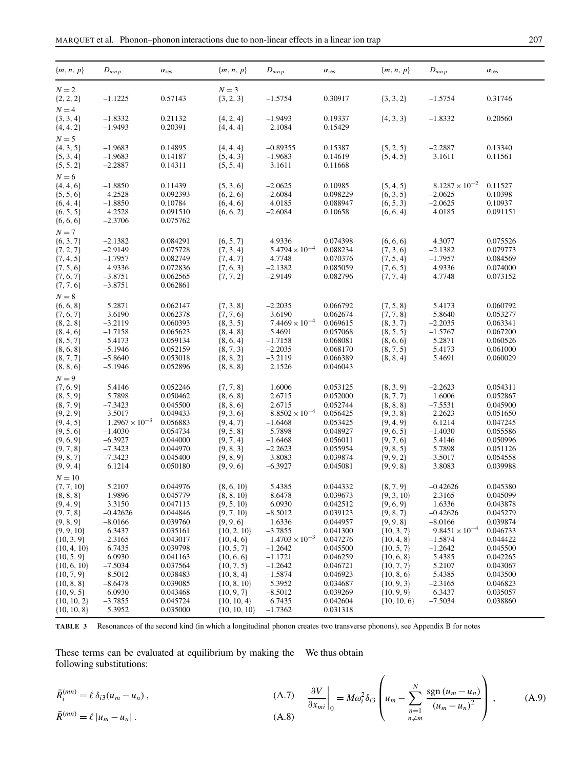| ${m, n, p}$                                                                                                                                                                                                                                                                                     | $D_{mnp}$                                                                                                                                                                             | $\alpha_{\rm res}$                                                                                                                                                                           | ${m, n, p}$                                                                                                                                                                                                                                                                                 | $D_{mnp}$                                                                                                                                                                                                   | $\alpha_{\rm res}$                                                                                                                                                                           | ${m, n, p}$                                                                                                                                                                                                                                                  | $D_{mnp}$                                                                                                                                                                                     | $\alpha_{\rm res}$                                                                                                                                                               |
|-------------------------------------------------------------------------------------------------------------------------------------------------------------------------------------------------------------------------------------------------------------------------------------------------|---------------------------------------------------------------------------------------------------------------------------------------------------------------------------------------|----------------------------------------------------------------------------------------------------------------------------------------------------------------------------------------------|---------------------------------------------------------------------------------------------------------------------------------------------------------------------------------------------------------------------------------------------------------------------------------------------|-------------------------------------------------------------------------------------------------------------------------------------------------------------------------------------------------------------|----------------------------------------------------------------------------------------------------------------------------------------------------------------------------------------------|--------------------------------------------------------------------------------------------------------------------------------------------------------------------------------------------------------------------------------------------------------------|-----------------------------------------------------------------------------------------------------------------------------------------------------------------------------------------------|----------------------------------------------------------------------------------------------------------------------------------------------------------------------------------|
| $N=2$<br>${2, 2, 2}$                                                                                                                                                                                                                                                                            | $-1.1225$                                                                                                                                                                             | 0.57143                                                                                                                                                                                      | $N=3$<br>$\{3, 2, 3\}$                                                                                                                                                                                                                                                                      | $-1.5754$                                                                                                                                                                                                   | 0.30917                                                                                                                                                                                      | ${3, 3, 2}$                                                                                                                                                                                                                                                  | $-1.5754$                                                                                                                                                                                     | 0.31746                                                                                                                                                                          |
| $N = 4$<br>$\{3, 3, 4\}$<br>${4, 4, 2}$                                                                                                                                                                                                                                                         | $-1.8332$<br>$-1.9493$                                                                                                                                                                | 0.21132<br>0.20391                                                                                                                                                                           | ${4, 2, 4}$<br>${4, 4, 4}$                                                                                                                                                                                                                                                                  | $-1.9493$<br>2.1084                                                                                                                                                                                         | 0.19337<br>0.15429                                                                                                                                                                           | ${4, 3, 3}$                                                                                                                                                                                                                                                  | $-1.8332$                                                                                                                                                                                     | 0.20560                                                                                                                                                                          |
| $N = 5$<br>${4, 3, 5}$<br>${5, 3, 4}$<br>${5, 5, 2}$                                                                                                                                                                                                                                            | $-1.9683$<br>$-1.9683$<br>$-2.2887$                                                                                                                                                   | 0.14895<br>0.14187<br>0.14311                                                                                                                                                                | ${4, 4, 4}$<br>${5, 4, 3}$<br>${5, 5, 4}$                                                                                                                                                                                                                                                   | $-0.89355$<br>$-1.9683$<br>3.1611                                                                                                                                                                           | 0.15387<br>0.14619<br>0.11668                                                                                                                                                                | $\{5, 2, 5\}$<br>${5, 4, 5}$                                                                                                                                                                                                                                 | $-2.2887$<br>3.1611                                                                                                                                                                           | 0.13340<br>0.11561                                                                                                                                                               |
| $N=6$<br>${4, 4, 6}$<br>${5, 5, 6}$<br>${6, 4, 4}$<br>${6, 5, 5}$<br>${6, 6, 6}$                                                                                                                                                                                                                | $-1.8850$<br>4.2528<br>$-1.8850$<br>4.2528<br>$-2.3706$                                                                                                                               | 0.11439<br>0.092393<br>0.10784<br>0.091510<br>0.075762                                                                                                                                       | $\{5, 3, 6\}$<br>${6, 2, 6}$<br>${6, 4, 6}$<br>$\{6, 6, 2\}$                                                                                                                                                                                                                                | $-2.0625$<br>$-2.6084$<br>4.0185<br>$-2.6084$                                                                                                                                                               | 0.10985<br>0.098229<br>0.088947<br>0.10658                                                                                                                                                   | ${5, 4, 5}$<br>${6, 3, 5}$<br>${6, 5, 3}$<br>$\{6, 6, 4\}$                                                                                                                                                                                                   | $8.1287 \times 10^{-2}$<br>$-2.0625$<br>$-2.0625$<br>4.0185                                                                                                                                   | 0.11527<br>0.10398<br>0.10937<br>0.091151                                                                                                                                        |
| $N=7$<br>${6, 3, 7}$<br>${7, 2, 7}$<br>${7, 4, 5}$<br>${7, 5, 6}$<br>$\{7, 6, 7\}$<br>$\{7, 7, 6\}$                                                                                                                                                                                             | $-2.1382$<br>$-2.9149$<br>$-1.7957$<br>4.9336<br>$-3.8751$<br>$-3.8751$                                                                                                               | 0.084291<br>0.075728<br>0.082749<br>0.072836<br>0.062565<br>0.062861                                                                                                                         | $\{6, 5, 7\}$<br>$\{7, 3, 4\}$<br>${7, 4, 7}$<br>$\{7, 6, 3\}$<br>$\{7, 7, 2\}$                                                                                                                                                                                                             | 4.9336<br>$5.4794 \times 10^{-4}$<br>4.7748<br>$-2.1382$<br>$-2.9149$                                                                                                                                       | 0.074398<br>0.088234<br>0.070376<br>0.085059<br>0.082796                                                                                                                                     | ${6, 6, 6}$<br>$\{7, 3, 6\}$<br>${7, 5, 4}$<br>$\{7, 6, 5\}$<br>$\{7, 7, 4\}$                                                                                                                                                                                | 4.3077<br>$-2.1382$<br>$-1.7957$<br>4.9336<br>4.7748                                                                                                                                          | 0.075526<br>0.079773<br>0.084569<br>0.074000<br>0.073152                                                                                                                         |
| ${\cal N}=8$<br>${6, 6, 8}$<br>$\{7, 6, 7\}$<br>${8, 2, 8}$<br>${8, 4, 6}$<br>${8, 5, 7}$<br>${8, 6, 8}$<br>${8, 7, 7}$                                                                                                                                                                         | 5.2871<br>3.6190<br>$-3.2119$<br>$-1.7158$<br>5.4173<br>$-5.1946$<br>$-5.8640$                                                                                                        | 0.062147<br>0.062378<br>0.060393<br>0.065623<br>0.059134<br>0.052159<br>0.053018                                                                                                             | $\{7, 3, 8\}$<br>$\{7, 7, 6\}$<br>${8, 3, 5}$<br>${8, 4, 8}$<br>${8, 6, 4}$<br>${8, 7, 3}$<br>${8, 8, 2}$                                                                                                                                                                                   | $-2.2035$<br>3.6190<br>$7.4469 \times 10^{-4}$<br>5.4691<br>$-1.7158$<br>$-2.2035$<br>$-3.2119$                                                                                                             | 0.066792<br>0.062674<br>0.069615<br>0.057068<br>0.068081<br>0.068170<br>0.066389                                                                                                             | ${7, 5, 8}$<br>${7, 7, 8}$<br>${8, 3, 7}$<br>${8, 5, 5}$<br>${8, 6, 6}$<br>${8, 7, 5}$<br>${8, 8, 4}$                                                                                                                                                        | 5.4173<br>$-5.8640$<br>$-2.2035$<br>$-1.5767$<br>5.2871<br>5.4173<br>5.4691                                                                                                                   | 0.060792<br>0.053277<br>0.063341<br>0.067200<br>0.060526<br>0.061000<br>0.060029                                                                                                 |
| ${8, 8, 6}$<br>$N=9$<br>$\{7, 6, 9\}$<br>${8, 5, 9}$<br>${8, 7, 9}$<br>${9, 2, 9}$<br>${9, 4, 5}$<br>${9, 5, 6}$<br>${9, 6, 9}$<br>${9, 7, 8}$<br>${9, 8, 7}$                                                                                                                                   | $-5.1946$<br>5.4146<br>5.7898<br>$-7.3423$<br>$-3.5017$<br>$1.2967 \times 10^{-3}$<br>$-1.4030$<br>$-6.3927$<br>$-7.3423$<br>$-7.3423$                                                | 0.052896<br>0.052246<br>0.050462<br>0.045500<br>0.049433<br>0.056883<br>0.054734<br>0.044000<br>0.044970<br>0.045400                                                                         | ${8, 8, 8}$<br>${7, 7, 8}$<br>${8, 6, 8}$<br>${8, 8, 6}$<br>${9, 3, 6}$<br>${9, 4, 7}$<br>${9, 5, 8}$<br>${9, 7, 4}$<br>${9, 8, 3}$<br>${9, 8, 9}$                                                                                                                                          | 2.1526<br>1.6006<br>2.6715<br>2.6715<br>$8.8502 \times 10^{-4}$<br>$-1.6468$<br>5.7898<br>$-1.6468$<br>$-2.2623$<br>3.8083                                                                                  | 0.046043<br>0.053125<br>0.052000<br>0.052744<br>0.056425<br>0.053425<br>0.048927<br>0.056011<br>0.055954<br>0.039874                                                                         | ${8, 3, 9}$<br>${8, 7, 7}$<br>${8, 8, 8}$<br>${9, 3, 8}$<br>${9, 4, 9}$<br>${9, 6, 5}$<br>${9, 7, 6}$<br>${9, 8, 5}$<br>${9, 9, 2}$                                                                                                                          | $-2.2623$<br>1.6006<br>$-7.5531$<br>$-2.2623$<br>6.1214<br>$-1.4030$<br>5.4146<br>5.7898<br>$-3.5017$                                                                                         | 0.054311<br>0.052867<br>0.045900<br>0.051650<br>0.047245<br>0.055586<br>0.050996<br>0.051126<br>0.054558                                                                         |
| ${9, 9, 4}$<br>$N = 10$<br>$\{7, 7, 10\}$<br>$\{8, 8, 8\}$<br>${9, 4, 9}$<br>${9, 7, 8}$<br>${9, 8, 9}$<br>$\{9, 9, 10\}$<br>$\{10, 3, 9\}$<br>$\{10, 4, 10\}$<br>$\{10, 5, 9\}$<br>$\{10, 6, 10\}$<br>$\{10, 7, 9\}$<br>$\{10, 8, 8\}$<br>$\{10, 9, 5\}$<br>$\{10, 10, 2\}$<br>$\{10, 10, 8\}$ | 6.1214<br>5.2107<br>$-1.9896$<br>3.3150<br>$-0.42626$<br>$-8.0166$<br>6.3437<br>$-2.3165$<br>6.7435<br>6.0930<br>$-7.5034$<br>$-8.5012$<br>$-8.6478$<br>6.0930<br>$-3.7855$<br>5.3952 | 0.050180<br>0.044976<br>0.045779<br>0.047113<br>0.044846<br>0.039760<br>0.035161<br>0.043017<br>0.039798<br>0.041163<br>0.037564<br>0.038483<br>0.039085<br>0.043468<br>0.045724<br>0.035000 | ${9, 9, 6}$<br>${8, 6, 10}$<br>$\{8, 8, 10\}$<br>$\{9, 5, 10\}$<br>$\{9, 7, 10\}$<br>$\{9, 9, 6\}$<br>$\{10, 2, 10\}$<br>$\{10, 4, 6\}$<br>$\{10, 5, 7\}$<br>$\{10, 6, 6\}$<br>$\{10, 7, 5\}$<br>$\{10, 8, 4\}$<br>$\{10, 8, 10\}$<br>$\{10, 9, 7\}$<br>$\{10, 10, 4\}$<br>$\{10, 10, 10\}$ | $-6.3927$<br>5.4385<br>$-8.6478$<br>6.0930<br>$-8.5012$<br>1.6336<br>$-3.7855$<br>$1.4703 \times 10^{-3}$<br>$-1.2642$<br>$-1.1721$<br>$-1.2642$<br>$-1.5874$<br>5.3952<br>$-8.5012$<br>6.7435<br>$-1.7362$ | 0.045081<br>0.044332<br>0.039673<br>0.042512<br>0.039123<br>0.044957<br>0.041300<br>0.047276<br>0.045500<br>0.046259<br>0.046721<br>0.046923<br>0.034687<br>0.039269<br>0.042604<br>0.031318 | ${9, 9, 8}$<br>${8, 7, 9}$<br>$\{9, 3, 10\}$<br>${9, 6, 9}$<br>${9, 8, 7}$<br>${9, 9, 8}$<br>$\{10, 3, 7\}$<br>$\{10, 4, 8\}$<br>$\{10, 5, 7\}$<br>$\{10, 6, 8\}$<br>$\{10, 7, 7\}$<br>$\{10, 8, 6\}$<br>$\{10, 9, 3\}$<br>$\{10, 9, 9\}$<br>$\{10, 10, 6\}$ | 3.8083<br>$-0.42626$<br>$-2.3165$<br>1.6336<br>$-0.42626$<br>$-8.0166$<br>$9.8451 \times 10^{-4}$<br>$-1.5874$<br>$-1.2642$<br>5.4385<br>5.2107<br>5.4385<br>$-2.3165$<br>6.3437<br>$-7.5034$ | 0.039988<br>0.045380<br>0.045099<br>0.043878<br>0.045279<br>0.039874<br>0.046733<br>0.044422<br>0.045500<br>0.042265<br>0.043067<br>0.043500<br>0.046823<br>0.035057<br>0.038860 |

**TABLE 3** Resonances of the second kind (in which a longitudinal phonon creates two transverse phonons), see Appendix B for notes

These terms can be evaluated at equilibrium by making the We thus obtain following substitutions:

$$
\bar{R}_i^{(mn)} = \ell \, \delta_{i3}(u_m - u_n) \,, \tag{A.7} \quad \frac{\partial V}{\partial x_i} \bigg|_{x_i} = M
$$

$$
\bar{R}^{(mn)} = \ell \left| u_m - u_n \right|.
$$
\n(A.8)

$$
\frac{\partial V}{\partial x_{mi}}\Big|_{0} = M\omega_i^2 \delta_{i3} \left( u_m - \sum_{\substack{n=1 \ n \neq m}}^N \frac{\text{sgn}(u_m - u_n)}{(u_m - u_n)^2} \right), \tag{A.9}
$$